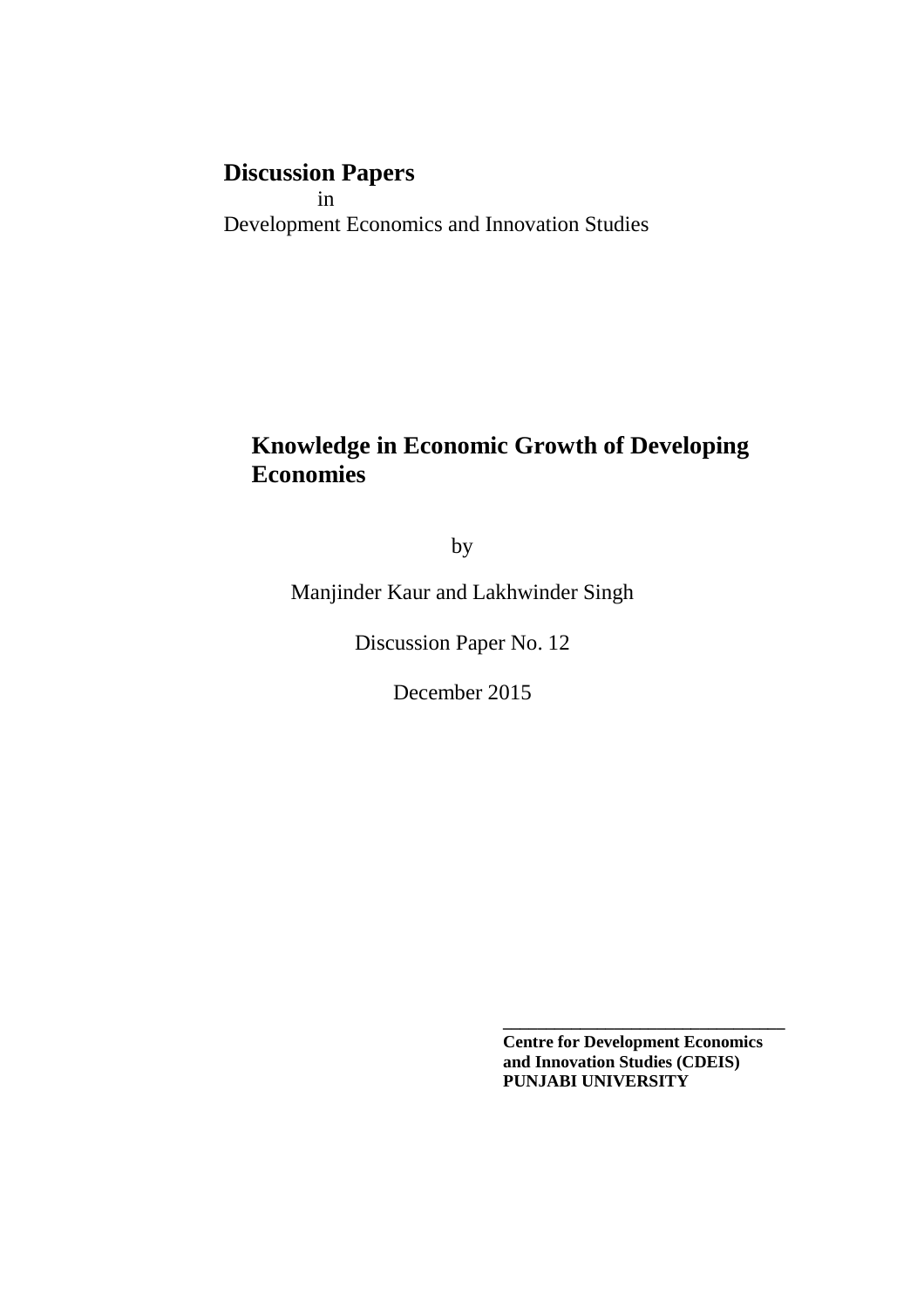# **Discussion Papers**

 in Development Economics and Innovation Studies

## **Knowledge in Economic Growth of Developing Economies**

by

Manjinder Kaur and Lakhwinder Singh

Discussion Paper No. 12

December 2015

 **Centre for Development Economics and Innovation Studies (CDEIS) PUNJABI UNIVERSITY**

**\_\_\_\_\_\_\_\_\_\_\_\_\_\_\_\_\_\_\_\_\_\_\_\_\_\_\_\_\_\_\_\_\_**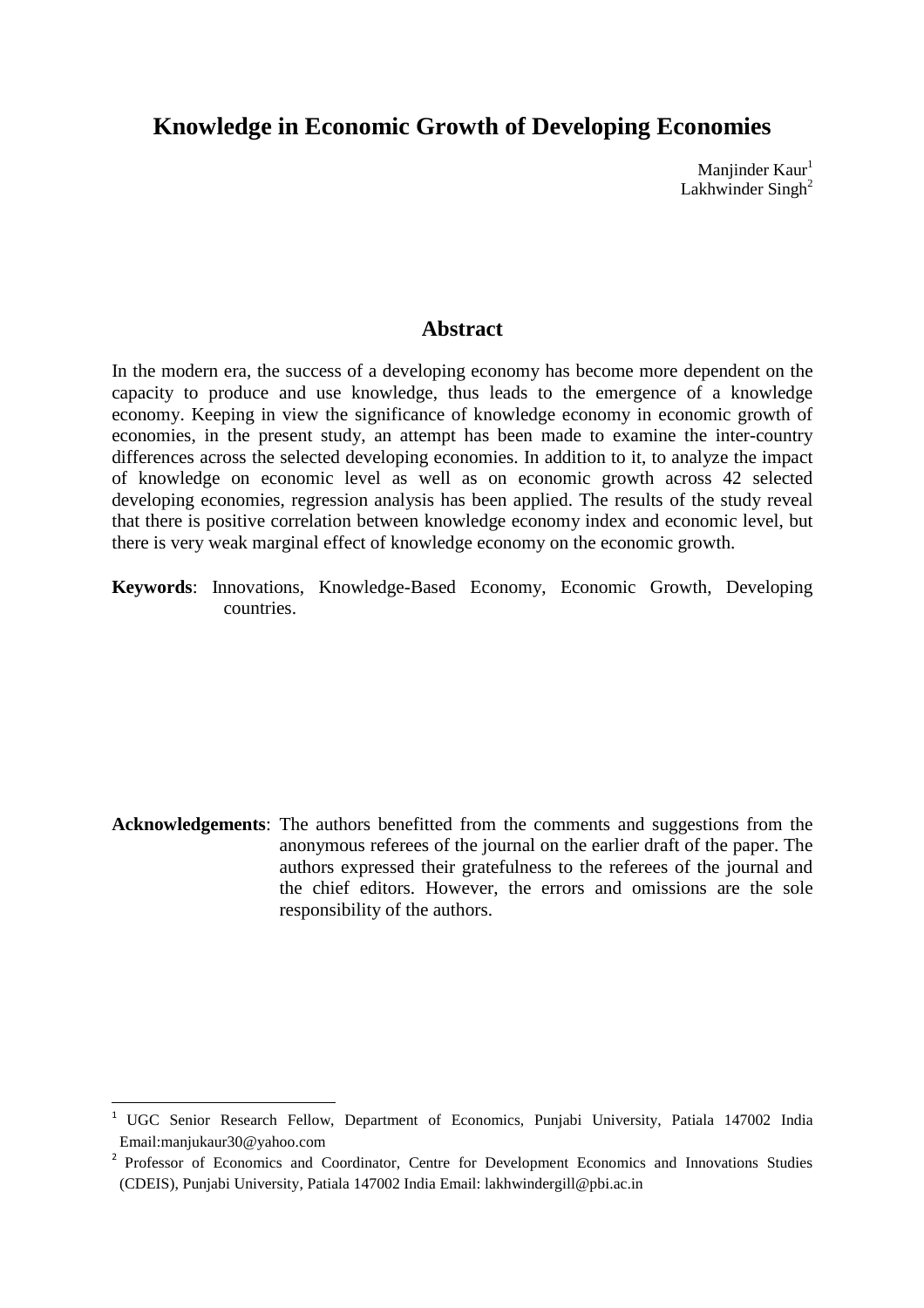## **Knowledge in Economic Growth of Developing Economies**

Manjinder Kaur<sup>1</sup> Lakhwinder Singh<sup>2</sup>

## **Abstract**

In the modern era, the success of a developing economy has become more dependent on the capacity to produce and use knowledge, thus leads to the emergence of a knowledge economy. Keeping in view the significance of knowledge economy in economic growth of economies, in the present study, an attempt has been made to examine the inter-country differences across the selected developing economies. In addition to it, to analyze the impact of knowledge on economic level as well as on economic growth across 42 selected developing economies, regression analysis has been applied. The results of the study reveal that there is positive correlation between knowledge economy index and economic level, but there is very weak marginal effect of knowledge economy on the economic growth.

**Keywords**: Innovations, Knowledge-Based Economy, Economic Growth, Developing countries.

**Acknowledgements**: The authors benefitted from the comments and suggestions from the anonymous referees of the journal on the earlier draft of the paper. The authors expressed their gratefulness to the referees of the journal and the chief editors. However, the errors and omissions are the sole responsibility of the authors.

l

<sup>&</sup>lt;sup>1</sup> UGC Senior Research Fellow, Department of Economics, Punjabi University, Patiala 147002 India Email:manjukaur30@yahoo.com

<sup>&</sup>lt;sup>2</sup> Professor of Economics and Coordinator, Centre for Development Economics and Innovations Studies (CDEIS), Punjabi University, Patiala 147002 India Email: lakhwindergill@pbi.ac.in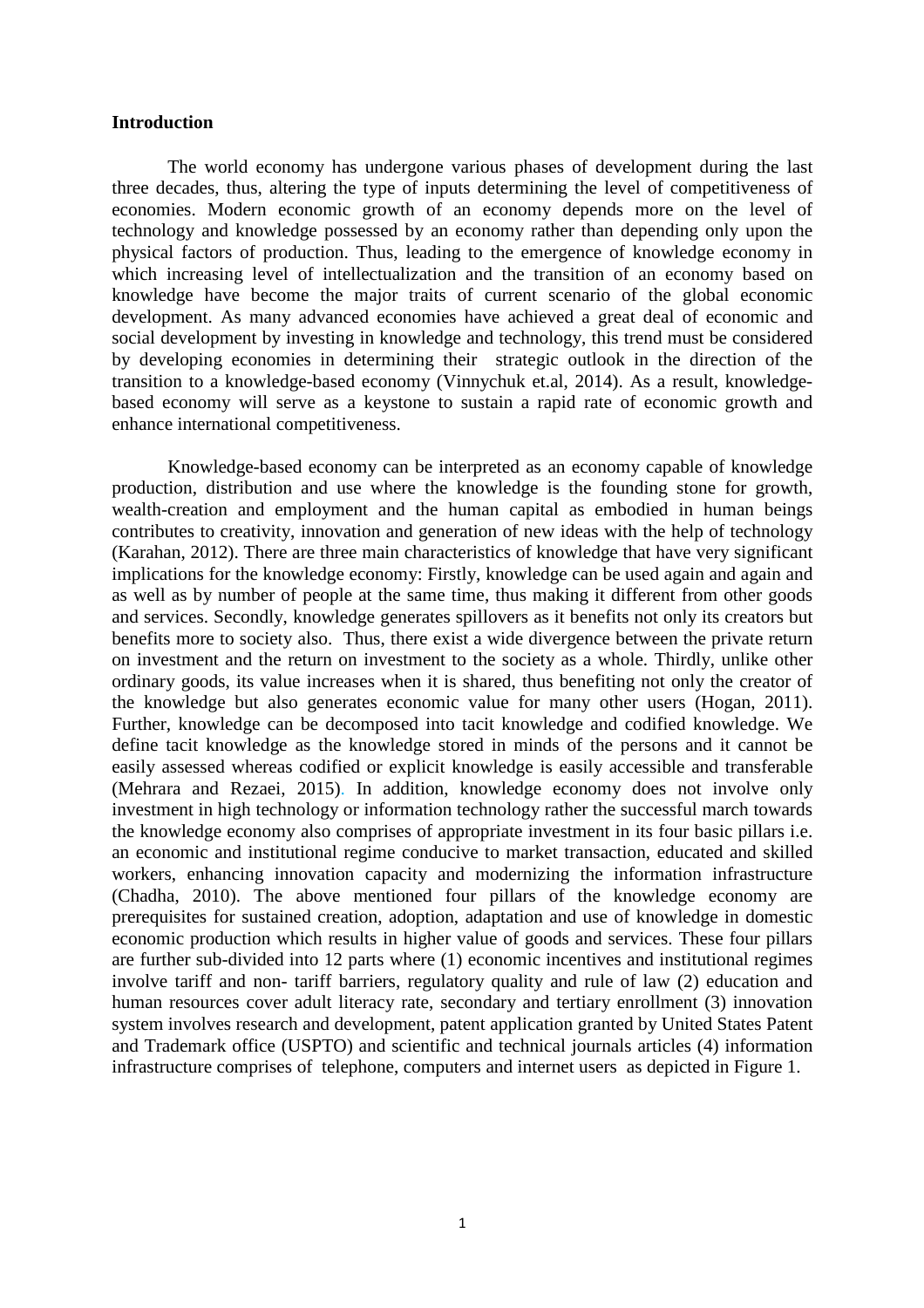#### **Introduction**

The world economy has undergone various phases of development during the last three decades, thus, altering the type of inputs determining the level of competitiveness of economies. Modern economic growth of an economy depends more on the level of technology and knowledge possessed by an economy rather than depending only upon the physical factors of production. Thus, leading to the emergence of knowledge economy in which increasing level of intellectualization and the transition of an economy based on knowledge have become the major traits of current scenario of the global economic development. As many advanced economies have achieved a great deal of economic and social development by investing in knowledge and technology, this trend must be considered by developing economies in determining their strategic outlook in the direction of the transition to a knowledge-based economy (Vinnychuk et.al, 2014). As a result, knowledgebased economy will serve as a keystone to sustain a rapid rate of economic growth and enhance international competitiveness.

 Knowledge-based economy can be interpreted as an economy capable of knowledge production, distribution and use where the knowledge is the founding stone for growth, wealth-creation and employment and the human capital as embodied in human beings contributes to creativity, innovation and generation of new ideas with the help of technology (Karahan, 2012). There are three main characteristics of knowledge that have very significant implications for the knowledge economy: Firstly, knowledge can be used again and again and as well as by number of people at the same time, thus making it different from other goods and services. Secondly, knowledge generates spillovers as it benefits not only its creators but benefits more to society also. Thus, there exist a wide divergence between the private return on investment and the return on investment to the society as a whole. Thirdly, unlike other ordinary goods, its value increases when it is shared, thus benefiting not only the creator of the knowledge but also generates economic value for many other users (Hogan, 2011). Further, knowledge can be decomposed into tacit knowledge and codified knowledge. We define tacit knowledge as the knowledge stored in minds of the persons and it cannot be easily assessed whereas codified or explicit knowledge is easily accessible and transferable (Mehrara and Rezaei, 2015). In addition, knowledge economy does not involve only investment in high technology or information technology rather the successful march towards the knowledge economy also comprises of appropriate investment in its four basic pillars i.e. an economic and institutional regime conducive to market transaction, educated and skilled workers, enhancing innovation capacity and modernizing the information infrastructure (Chadha, 2010). The above mentioned four pillars of the knowledge economy are prerequisites for sustained creation, adoption, adaptation and use of knowledge in domestic economic production which results in higher value of goods and services. These four pillars are further sub-divided into 12 parts where (1) economic incentives and institutional regimes involve tariff and non- tariff barriers, regulatory quality and rule of law (2) education and human resources cover adult literacy rate, secondary and tertiary enrollment (3) innovation system involves research and development, patent application granted by United States Patent and Trademark office (USPTO) and scientific and technical journals articles (4) information infrastructure comprises of telephone, computers and internet users as depicted in Figure 1.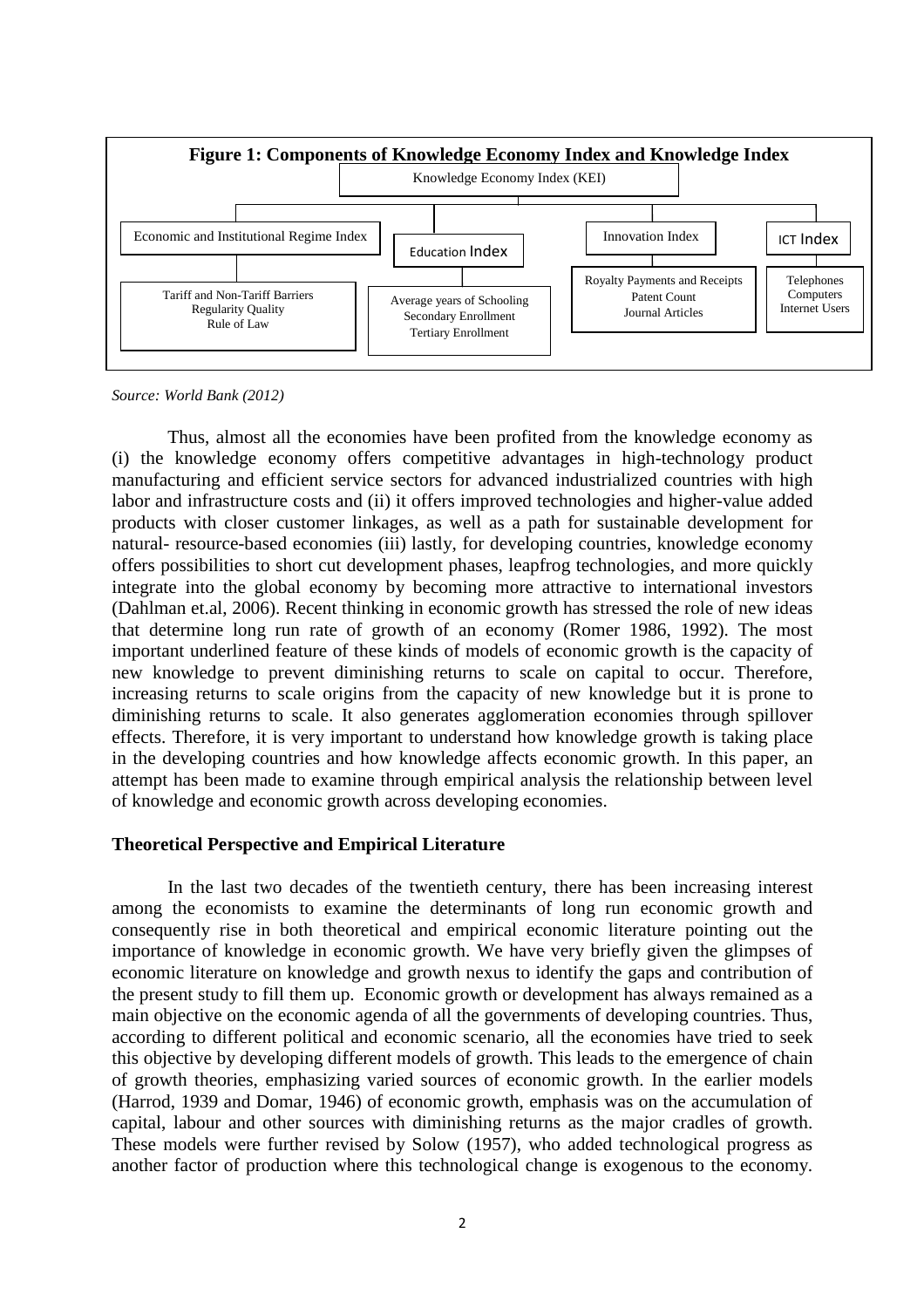

*Source: World Bank (2012)*

 Thus, almost all the economies have been profited from the knowledge economy as (i) the knowledge economy offers competitive advantages in high-technology product manufacturing and efficient service sectors for advanced industrialized countries with high labor and infrastructure costs and (ii) it offers improved technologies and higher-value added products with closer customer linkages, as well as a path for sustainable development for natural- resource-based economies (iii) lastly, for developing countries, knowledge economy offers possibilities to short cut development phases, leapfrog technologies, and more quickly integrate into the global economy by becoming more attractive to international investors (Dahlman et.al, 2006). Recent thinking in economic growth has stressed the role of new ideas that determine long run rate of growth of an economy (Romer 1986, 1992). The most important underlined feature of these kinds of models of economic growth is the capacity of new knowledge to prevent diminishing returns to scale on capital to occur. Therefore, increasing returns to scale origins from the capacity of new knowledge but it is prone to diminishing returns to scale. It also generates agglomeration economies through spillover effects. Therefore, it is very important to understand how knowledge growth is taking place in the developing countries and how knowledge affects economic growth. In this paper, an attempt has been made to examine through empirical analysis the relationship between level of knowledge and economic growth across developing economies.

#### **Theoretical Perspective and Empirical Literature**

 In the last two decades of the twentieth century, there has been increasing interest among the economists to examine the determinants of long run economic growth and consequently rise in both theoretical and empirical economic literature pointing out the importance of knowledge in economic growth. We have very briefly given the glimpses of economic literature on knowledge and growth nexus to identify the gaps and contribution of the present study to fill them up. Economic growth or development has always remained as a main objective on the economic agenda of all the governments of developing countries. Thus, according to different political and economic scenario, all the economies have tried to seek this objective by developing different models of growth. This leads to the emergence of chain of growth theories, emphasizing varied sources of economic growth. In the earlier models (Harrod, 1939 and Domar, 1946) of economic growth, emphasis was on the accumulation of capital, labour and other sources with diminishing returns as the major cradles of growth. These models were further revised by Solow (1957), who added technological progress as another factor of production where this technological change is exogenous to the economy.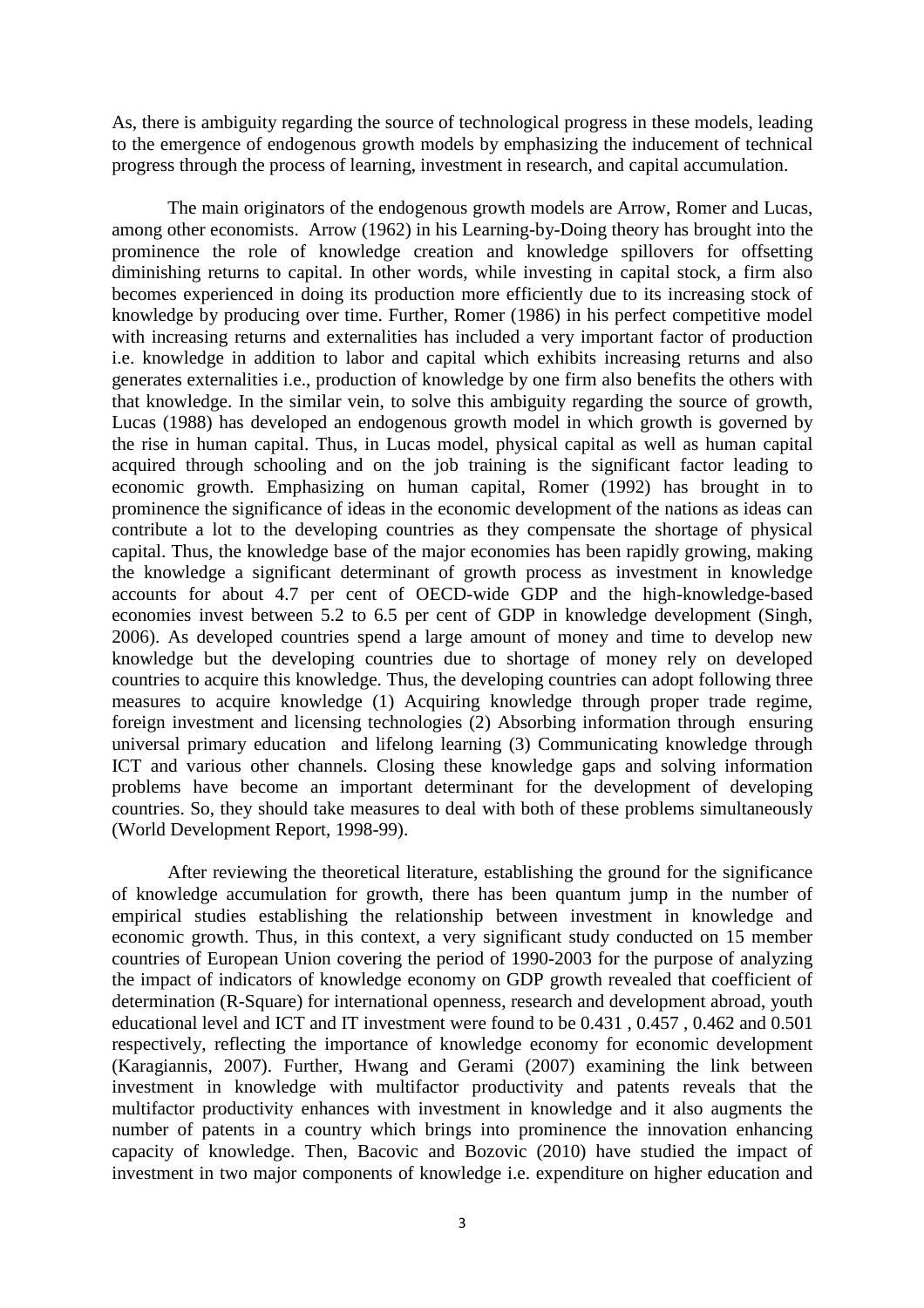As, there is ambiguity regarding the source of technological progress in these models, leading to the emergence of endogenous growth models by emphasizing the inducement of technical progress through the process of learning, investment in research, and capital accumulation.

 The main originators of the endogenous growth models are Arrow, Romer and Lucas, among other economists. Arrow (1962) in his Learning-by-Doing theory has brought into the prominence the role of knowledge creation and knowledge spillovers for offsetting diminishing returns to capital. In other words, while investing in capital stock, a firm also becomes experienced in doing its production more efficiently due to its increasing stock of knowledge by producing over time. Further, Romer (1986) in his perfect competitive model with increasing returns and externalities has included a very important factor of production i.e. knowledge in addition to labor and capital which exhibits increasing returns and also generates externalities i.e., production of knowledge by one firm also benefits the others with that knowledge. In the similar vein, to solve this ambiguity regarding the source of growth, Lucas (1988) has developed an endogenous growth model in which growth is governed by the rise in human capital. Thus, in Lucas model, physical capital as well as human capital acquired through schooling and on the job training is the significant factor leading to economic growth. Emphasizing on human capital, Romer (1992) has brought in to prominence the significance of ideas in the economic development of the nations as ideas can contribute a lot to the developing countries as they compensate the shortage of physical capital. Thus, the knowledge base of the major economies has been rapidly growing, making the knowledge a significant determinant of growth process as investment in knowledge accounts for about 4.7 per cent of OECD-wide GDP and the high-knowledge-based economies invest between 5.2 to 6.5 per cent of GDP in knowledge development (Singh, 2006). As developed countries spend a large amount of money and time to develop new knowledge but the developing countries due to shortage of money rely on developed countries to acquire this knowledge. Thus, the developing countries can adopt following three measures to acquire knowledge (1) Acquiring knowledge through proper trade regime, foreign investment and licensing technologies (2) Absorbing information through ensuring universal primary education and lifelong learning (3) Communicating knowledge through ICT and various other channels. Closing these knowledge gaps and solving information problems have become an important determinant for the development of developing countries. So, they should take measures to deal with both of these problems simultaneously (World Development Report, 1998-99).

 After reviewing the theoretical literature, establishing the ground for the significance of knowledge accumulation for growth, there has been quantum jump in the number of empirical studies establishing the relationship between investment in knowledge and economic growth. Thus, in this context, a very significant study conducted on 15 member countries of European Union covering the period of 1990-2003 for the purpose of analyzing the impact of indicators of knowledge economy on GDP growth revealed that coefficient of determination (R-Square) for international openness, research and development abroad, youth educational level and ICT and IT investment were found to be 0.431 , 0.457 , 0.462 and 0.501 respectively, reflecting the importance of knowledge economy for economic development (Karagiannis, 2007). Further, Hwang and Gerami (2007) examining the link between investment in knowledge with multifactor productivity and patents reveals that the multifactor productivity enhances with investment in knowledge and it also augments the number of patents in a country which brings into prominence the innovation enhancing capacity of knowledge. Then, Bacovic and Bozovic (2010) have studied the impact of investment in two major components of knowledge i.e. expenditure on higher education and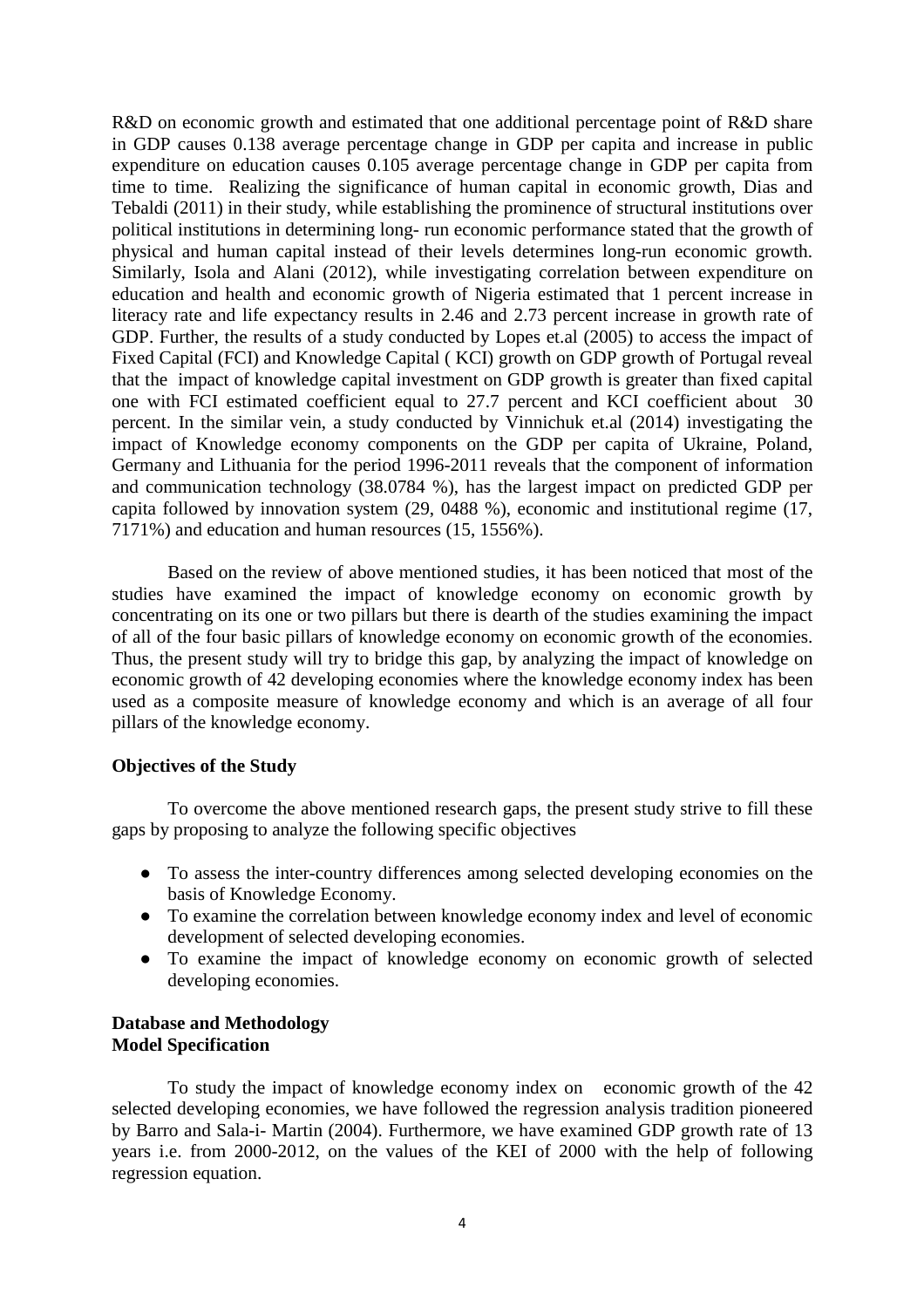R&D on economic growth and estimated that one additional percentage point of R&D share in GDP causes 0.138 average percentage change in GDP per capita and increase in public expenditure on education causes 0.105 average percentage change in GDP per capita from time to time. Realizing the significance of human capital in economic growth, Dias and Tebaldi (2011) in their study, while establishing the prominence of structural institutions over political institutions in determining long- run economic performance stated that the growth of physical and human capital instead of their levels determines long-run economic growth. Similarly, Isola and Alani (2012), while investigating correlation between expenditure on education and health and economic growth of Nigeria estimated that 1 percent increase in literacy rate and life expectancy results in 2.46 and 2.73 percent increase in growth rate of GDP. Further, the results of a study conducted by Lopes et.al (2005) to access the impact of Fixed Capital (FCI) and Knowledge Capital ( KCI) growth on GDP growth of Portugal reveal that the impact of knowledge capital investment on GDP growth is greater than fixed capital one with FCI estimated coefficient equal to 27.7 percent and KCI coefficient about 30 percent. In the similar vein, a study conducted by Vinnichuk et.al (2014) investigating the impact of Knowledge economy components on the GDP per capita of Ukraine, Poland, Germany and Lithuania for the period 1996-2011 reveals that the component of information and communication technology (38.0784 %), has the largest impact on predicted GDP per capita followed by innovation system (29, 0488 %), economic and institutional regime (17, 7171%) and education and human resources (15, 1556%).

Based on the review of above mentioned studies, it has been noticed that most of the studies have examined the impact of knowledge economy on economic growth by concentrating on its one or two pillars but there is dearth of the studies examining the impact of all of the four basic pillars of knowledge economy on economic growth of the economies. Thus, the present study will try to bridge this gap, by analyzing the impact of knowledge on economic growth of 42 developing economies where the knowledge economy index has been used as a composite measure of knowledge economy and which is an average of all four pillars of the knowledge economy.

#### **Objectives of the Study**

 To overcome the above mentioned research gaps, the present study strive to fill these gaps by proposing to analyze the following specific objectives

- To assess the inter-country differences among selected developing economies on the basis of Knowledge Economy.
- To examine the correlation between knowledge economy index and level of economic development of selected developing economies.
- To examine the impact of knowledge economy on economic growth of selected developing economies.

### **Database and Methodology Model Specification**

To study the impact of knowledge economy index on economic growth of the 42 selected developing economies, we have followed the regression analysis tradition pioneered by Barro and Sala-i- Martin (2004). Furthermore, we have examined GDP growth rate of 13 years i.e. from 2000-2012, on the values of the KEI of 2000 with the help of following regression equation.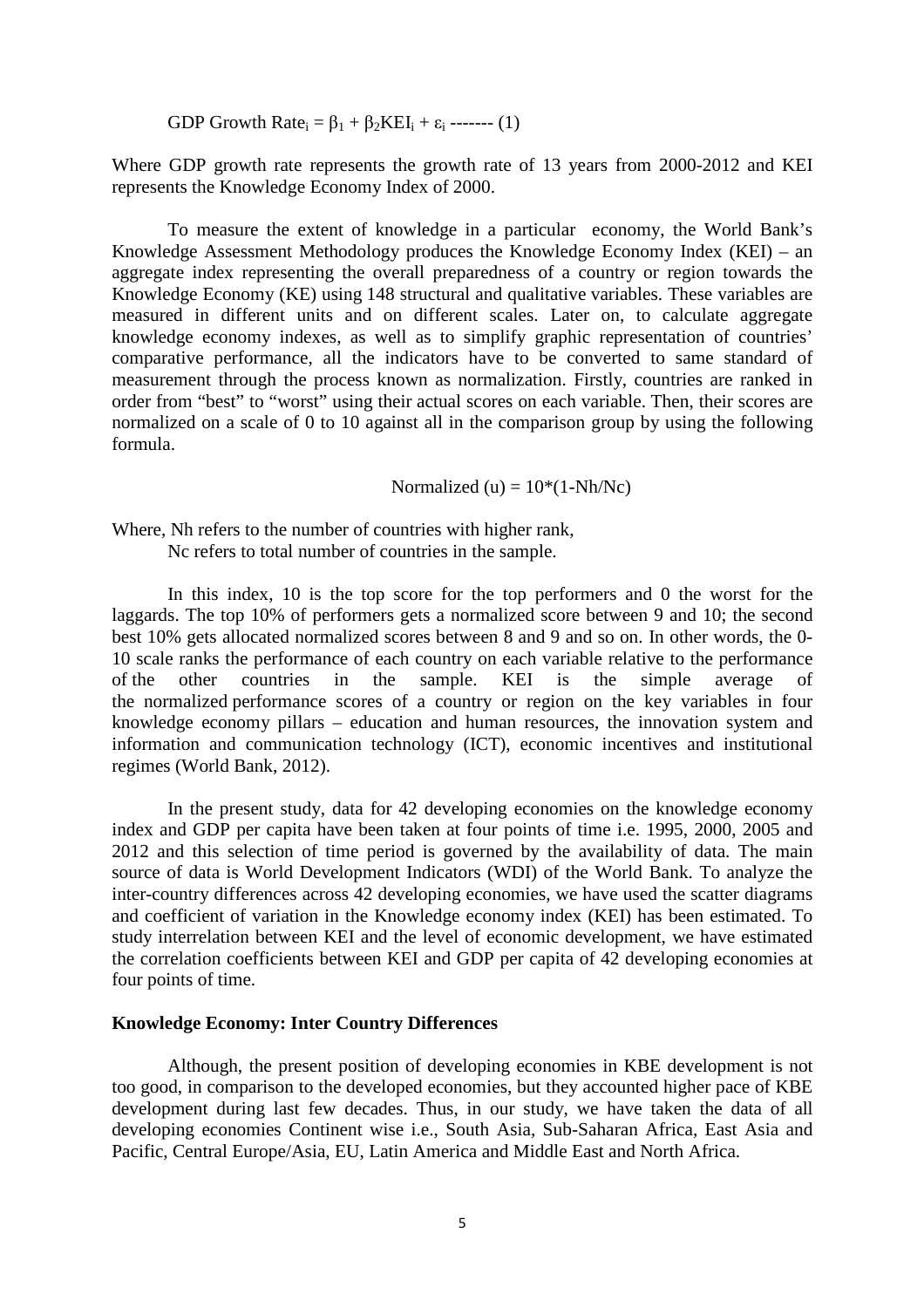GDP Growth Rate<sub>i</sub> =  $\beta_1 + \beta_2 KEI_i + \varepsilon_i$  ------- (1)

Where GDP growth rate represents the growth rate of 13 years from 2000-2012 and KEI represents the Knowledge Economy Index of 2000.

 To measure the extent of knowledge in a particular economy, the World Bank's Knowledge Assessment Methodology produces the Knowledge Economy Index (KEI) – an aggregate index representing the overall preparedness of a country or region towards the Knowledge Economy (KE) using 148 structural and qualitative variables. These variables are measured in different units and on different scales. Later on, to calculate aggregate knowledge economy indexes, as well as to simplify graphic representation of countries' comparative performance, all the indicators have to be converted to same standard of measurement through the process known as normalization. Firstly, countries are ranked in order from "best" to "worst" using their actual scores on each variable. Then, their scores are normalized on a scale of 0 to 10 against all in the comparison group by using the following formula.

Normalized (u) =  $10*(1-Nh/Ne)$ 

Where, Nh refers to the number of countries with higher rank, Nc refers to total number of countries in the sample.

 In this index, 10 is the top score for the top performers and 0 the worst for the laggards. The top 10% of performers gets a normalized score between 9 and 10; the second best 10% gets allocated normalized scores between 8 and 9 and so on. In other words, the 0- 10 scale ranks the performance of each country on each variable relative to the performance of the other countries in the sample. KEI is the simple average of the normalized performance scores of a country or region on the key variables in four knowledge economy pillars – education and human resources, the innovation system and information and communication technology (ICT), economic incentives and institutional regimes (World Bank, 2012).

 In the present study, data for 42 developing economies on the knowledge economy index and GDP per capita have been taken at four points of time i.e. 1995, 2000, 2005 and 2012 and this selection of time period is governed by the availability of data. The main source of data is World Development Indicators (WDI) of the World Bank. To analyze the inter-country differences across 42 developing economies, we have used the scatter diagrams and coefficient of variation in the Knowledge economy index (KEI) has been estimated. To study interrelation between KEI and the level of economic development, we have estimated the correlation coefficients between KEI and GDP per capita of 42 developing economies at four points of time.

#### **Knowledge Economy: Inter Country Differences**

Although, the present position of developing economies in KBE development is not too good, in comparison to the developed economies, but they accounted higher pace of KBE development during last few decades. Thus, in our study, we have taken the data of all developing economies Continent wise i.e., South Asia, Sub-Saharan Africa, East Asia and Pacific, Central Europe/Asia, EU, Latin America and Middle East and North Africa.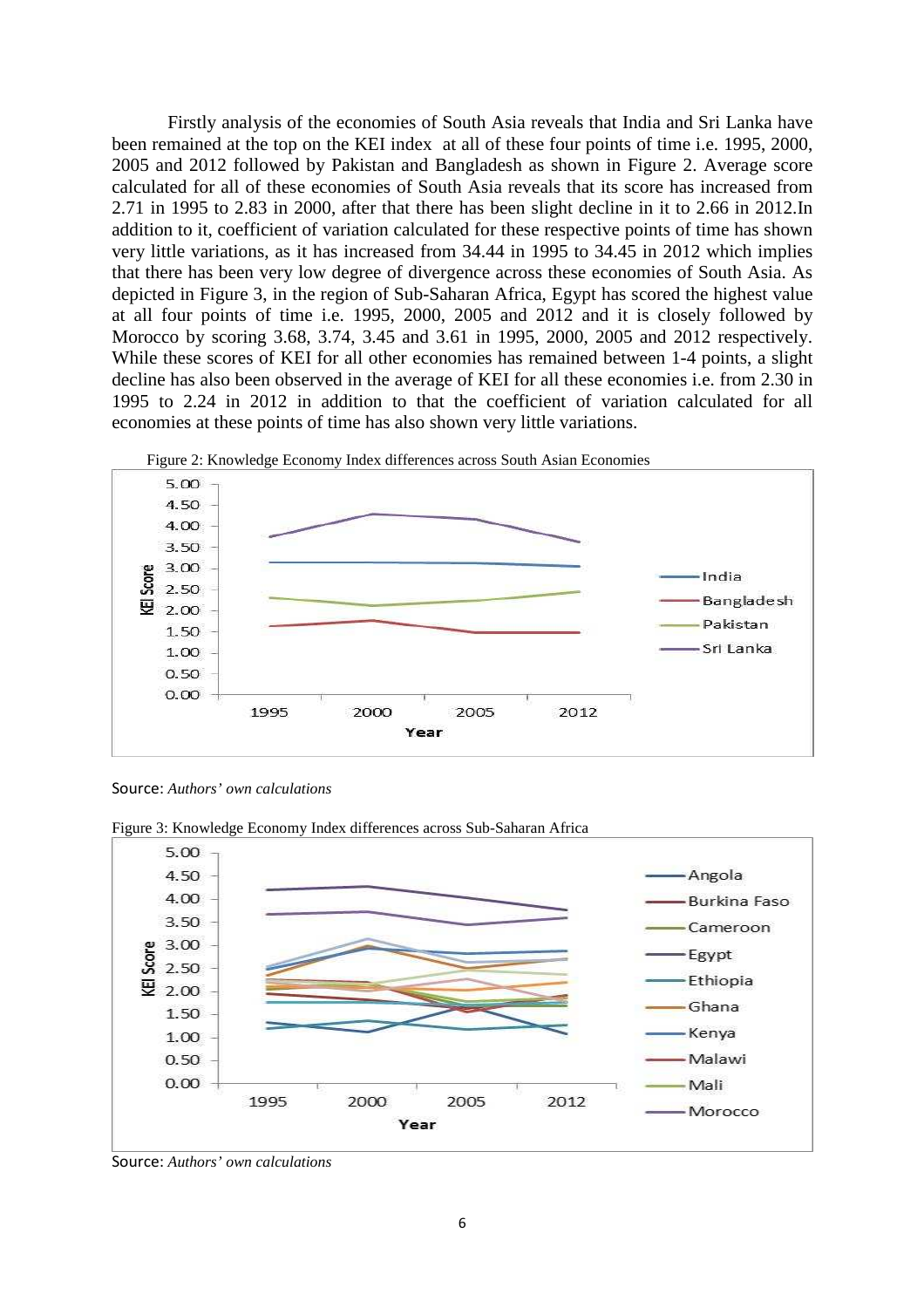Firstly analysis of the economies of South Asia reveals that India and Sri Lanka have been remained at the top on the KEI index at all of these four points of time i.e. 1995, 2000, 2005 and 2012 followed by Pakistan and Bangladesh as shown in Figure 2. Average score calculated for all of these economies of South Asia reveals that its score has increased from 2.71 in 1995 to 2.83 in 2000, after that there has been slight decline in it to 2.66 in 2012.In addition to it, coefficient of variation calculated for these respective points of time has shown very little variations, as it has increased from 34.44 in 1995 to 34.45 in 2012 which implies that there has been very low degree of divergence across these economies of South Asia. As depicted in Figure 3, in the region of Sub-Saharan Africa, Egypt has scored the highest value at all four points of time i.e. 1995, 2000, 2005 and 2012 and it is closely followed by Morocco by scoring 3.68, 3.74, 3.45 and 3.61 in 1995, 2000, 2005 and 2012 respectively. While these scores of KEI for all other economies has remained between 1-4 points, a slight decline has also been observed in the average of KEI for all these economies i.e. from 2.30 in 1995 to 2.24 in 2012 in addition to that the coefficient of variation calculated for all economies at these points of time has also shown very little variations.



Source: *Authors' own calculations*



Figure 3: Knowledge Economy Index differences across Sub-Saharan Africa

Source: *Authors' own calculations*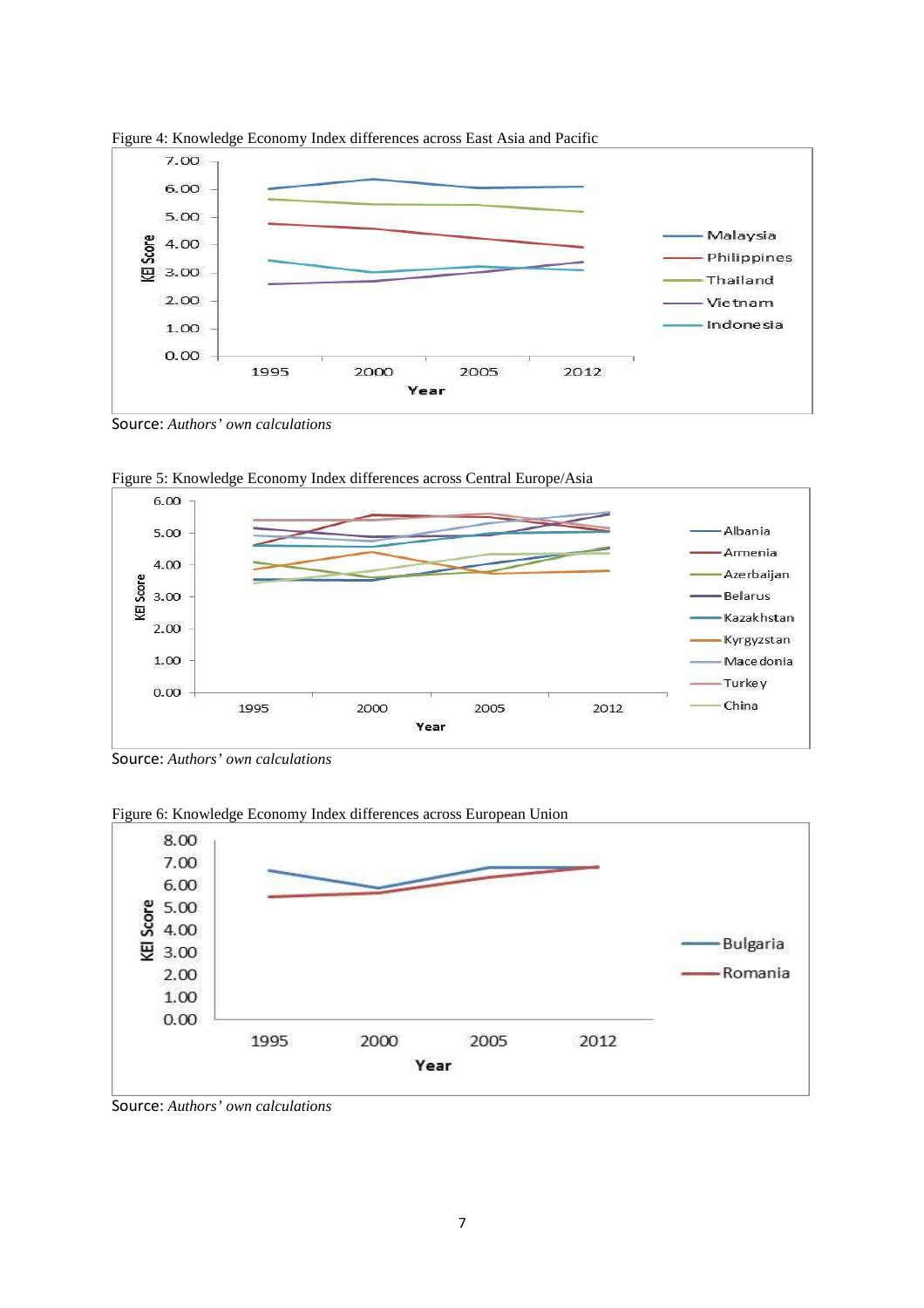

Figure 4: Knowledge Economy Index differences across East Asia and Pacific

Source: *Authors' own calculations* 



Figure 5: Knowledge Economy Index differences across Central Europe/Asia

Source: *Authors' own calculations* 



Figure 6: Knowledge Economy Index differences across European Union

Source: *Authors' own calculations*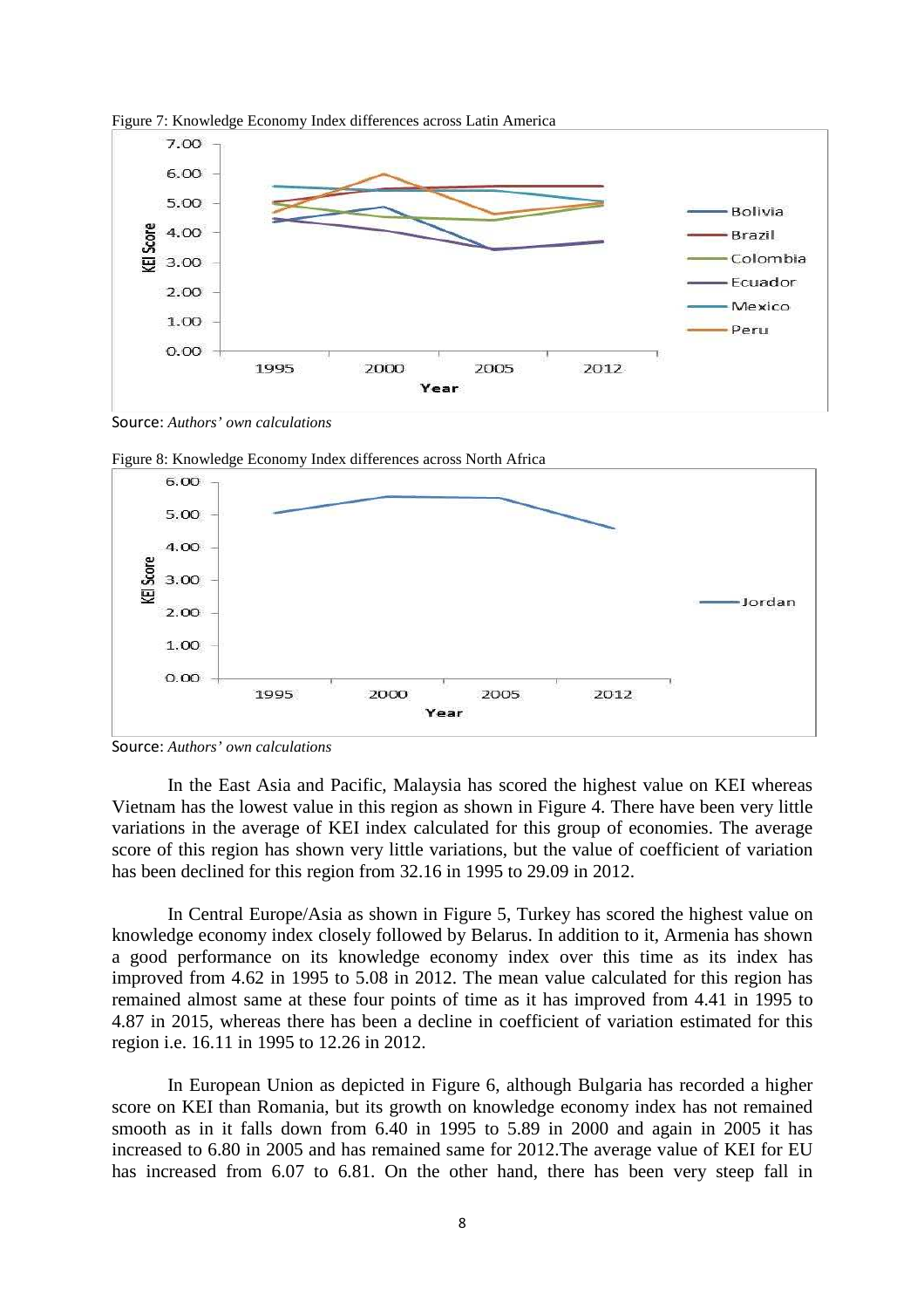

Figure 7: Knowledge Economy Index differences across Latin America

Source: *Authors' own calculations* 





Source: *Authors' own calculations*

In the East Asia and Pacific, Malaysia has scored the highest value on KEI whereas Vietnam has the lowest value in this region as shown in Figure 4. There have been very little variations in the average of KEI index calculated for this group of economies. The average score of this region has shown very little variations, but the value of coefficient of variation has been declined for this region from 32.16 in 1995 to 29.09 in 2012.

 In Central Europe/Asia as shown in Figure 5, Turkey has scored the highest value on knowledge economy index closely followed by Belarus. In addition to it, Armenia has shown a good performance on its knowledge economy index over this time as its index has improved from 4.62 in 1995 to 5.08 in 2012. The mean value calculated for this region has remained almost same at these four points of time as it has improved from 4.41 in 1995 to 4.87 in 2015, whereas there has been a decline in coefficient of variation estimated for this region i.e. 16.11 in 1995 to 12.26 in 2012.

 In European Union as depicted in Figure 6, although Bulgaria has recorded a higher score on KEI than Romania, but its growth on knowledge economy index has not remained smooth as in it falls down from 6.40 in 1995 to 5.89 in 2000 and again in 2005 it has increased to 6.80 in 2005 and has remained same for 2012.The average value of KEI for EU has increased from 6.07 to 6.81. On the other hand, there has been very steep fall in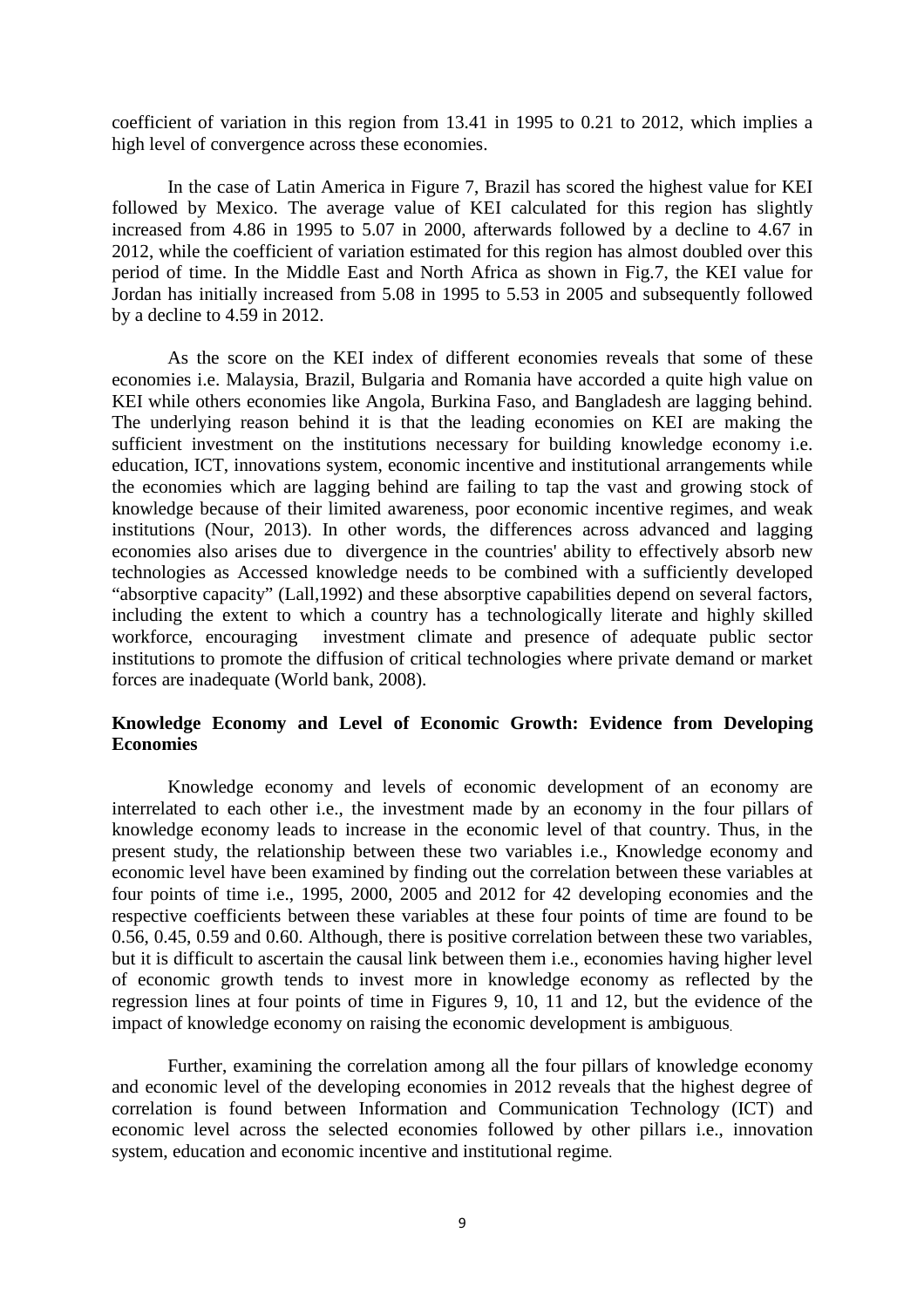coefficient of variation in this region from 13.41 in 1995 to 0.21 to 2012, which implies a high level of convergence across these economies.

 In the case of Latin America in Figure 7, Brazil has scored the highest value for KEI followed by Mexico. The average value of KEI calculated for this region has slightly increased from 4.86 in 1995 to 5.07 in 2000, afterwards followed by a decline to 4.67 in 2012, while the coefficient of variation estimated for this region has almost doubled over this period of time. In the Middle East and North Africa as shown in Fig.7, the KEI value for Jordan has initially increased from 5.08 in 1995 to 5.53 in 2005 and subsequently followed by a decline to 4.59 in 2012.

 As the score on the KEI index of different economies reveals that some of these economies i.e. Malaysia, Brazil, Bulgaria and Romania have accorded a quite high value on KEI while others economies like Angola, Burkina Faso, and Bangladesh are lagging behind. The underlying reason behind it is that the leading economies on KEI are making the sufficient investment on the institutions necessary for building knowledge economy i.e. education, ICT, innovations system, economic incentive and institutional arrangements while the economies which are lagging behind are failing to tap the vast and growing stock of knowledge because of their limited awareness, poor economic incentive regimes, and weak institutions (Nour, 2013). In other words, the differences across advanced and lagging economies also arises due to divergence in the countries' ability to effectively absorb new technologies as Accessed knowledge needs to be combined with a sufficiently developed "absorptive capacity" (Lall,1992) and these absorptive capabilities depend on several factors, including the extent to which a country has a technologically literate and highly skilled workforce, encouraging investment climate and presence of adequate public sector institutions to promote the diffusion of critical technologies where private demand or market forces are inadequate (World bank, 2008).

### **Knowledge Economy and Level of Economic Growth: Evidence from Developing Economies**

 Knowledge economy and levels of economic development of an economy are interrelated to each other i.e., the investment made by an economy in the four pillars of knowledge economy leads to increase in the economic level of that country. Thus, in the present study, the relationship between these two variables i.e., Knowledge economy and economic level have been examined by finding out the correlation between these variables at four points of time i.e., 1995, 2000, 2005 and 2012 for 42 developing economies and the respective coefficients between these variables at these four points of time are found to be 0.56, 0.45, 0.59 and 0.60. Although, there is positive correlation between these two variables, but it is difficult to ascertain the causal link between them i.e., economies having higher level of economic growth tends to invest more in knowledge economy as reflected by the regression lines at four points of time in Figures 9, 10, 11 and 12, but the evidence of the impact of knowledge economy on raising the economic development is ambiguous.

 Further, examining the correlation among all the four pillars of knowledge economy and economic level of the developing economies in 2012 reveals that the highest degree of correlation is found between Information and Communication Technology (ICT) and economic level across the selected economies followed by other pillars i.e., innovation system, education and economic incentive and institutional regime.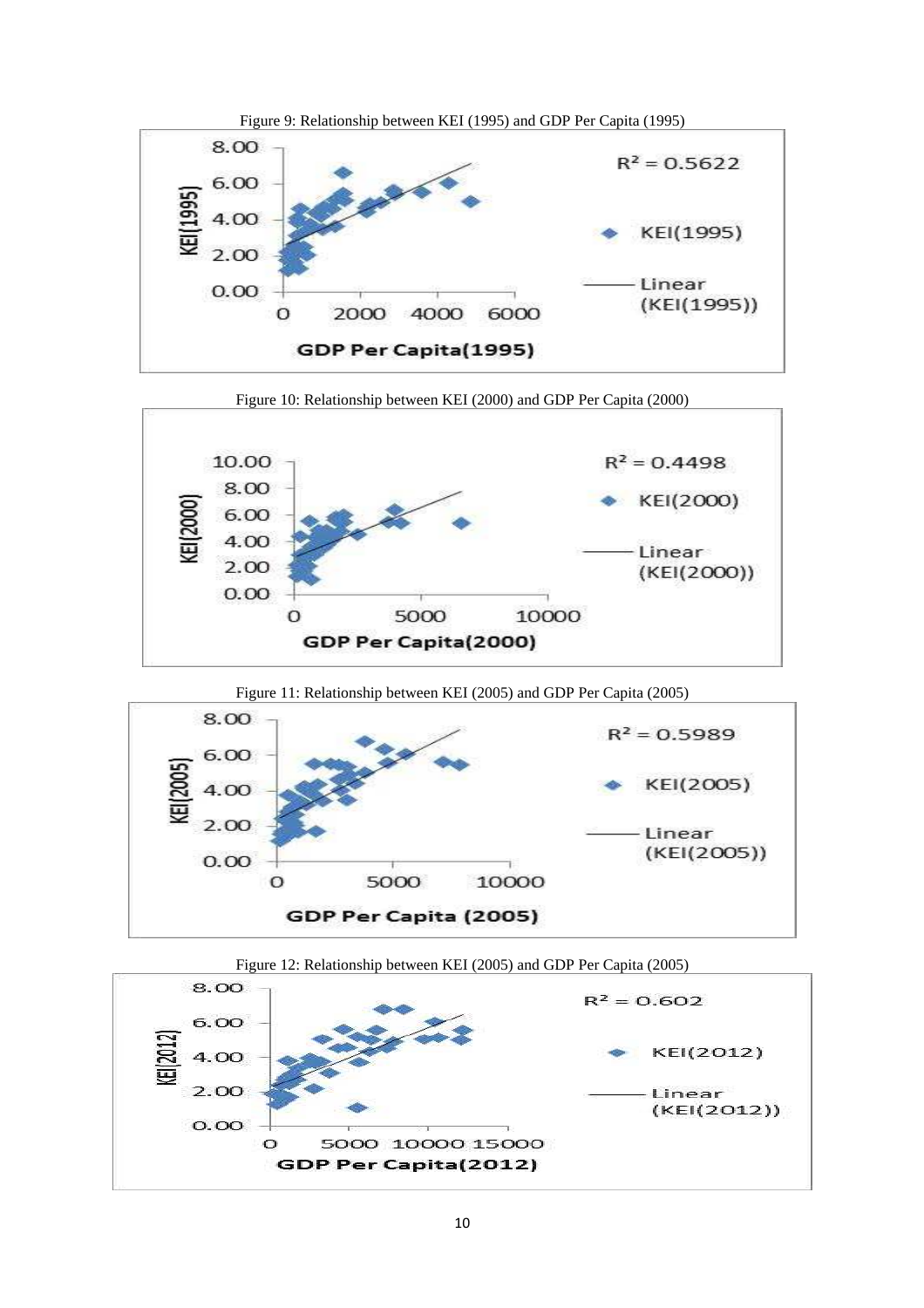

Figure 10: Relationship between KEI (2000) and GDP Per Capita (2000)



Figure 11: Relationship between KEI (2005) and GDP Per Capita (2005)





Figure 12: Relationship between KEI (2005) and GDP Per Capita (2005)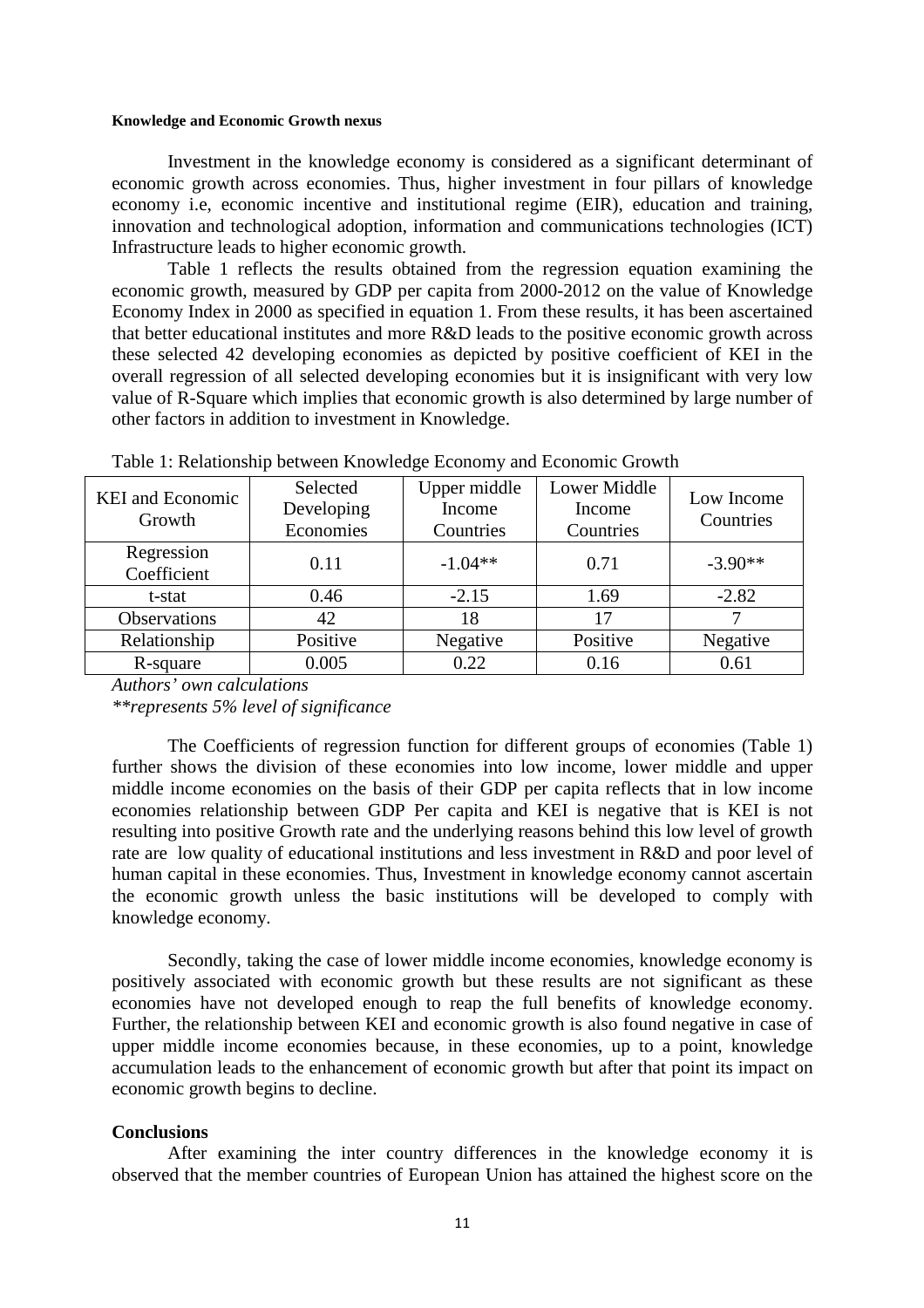#### **Knowledge and Economic Growth nexus**

Investment in the knowledge economy is considered as a significant determinant of economic growth across economies. Thus, higher investment in four pillars of knowledge economy i.e, economic incentive and institutional regime (EIR), education and training, innovation and technological adoption, information and communications technologies (ICT) Infrastructure leads to higher economic growth.

 Table 1 reflects the results obtained from the regression equation examining the economic growth, measured by GDP per capita from 2000-2012 on the value of Knowledge Economy Index in 2000 as specified in equation 1. From these results, it has been ascertained that better educational institutes and more R&D leads to the positive economic growth across these selected 42 developing economies as depicted by positive coefficient of KEI in the overall regression of all selected developing economies but it is insignificant with very low value of R-Square which implies that economic growth is also determined by large number of other factors in addition to investment in Knowledge.

| <b>KEI</b> and Economic<br>Growth | Selected<br>Developing<br>Economies | Upper middle<br>Income<br>Countries | Lower Middle<br>Income<br>Countries | Low Income<br>Countries |
|-----------------------------------|-------------------------------------|-------------------------------------|-------------------------------------|-------------------------|
| Regression<br>Coefficient         | 0.11                                | $-1.04**$                           | 0.71                                | $-3.90**$               |
| t-stat                            | 0.46                                | $-2.15$                             | 1.69                                | $-2.82$                 |
| <b>Observations</b>               | 42                                  | 18                                  | 17                                  |                         |
| Relationship                      | Positive                            | Negative                            | Positive                            | Negative                |
| R-square                          | 0.005                               | 0.22                                | 0.16                                | 0.61                    |

Table 1: Relationship between Knowledge Economy and Economic Growth

*Authors' own calculations \*\*represents 5% level of significance* 

The Coefficients of regression function for different groups of economies (Table 1) further shows the division of these economies into low income, lower middle and upper middle income economies on the basis of their GDP per capita reflects that in low income economies relationship between GDP Per capita and KEI is negative that is KEI is not resulting into positive Growth rate and the underlying reasons behind this low level of growth rate are low quality of educational institutions and less investment in R&D and poor level of human capital in these economies. Thus, Investment in knowledge economy cannot ascertain the economic growth unless the basic institutions will be developed to comply with knowledge economy.

Secondly, taking the case of lower middle income economies, knowledge economy is positively associated with economic growth but these results are not significant as these economies have not developed enough to reap the full benefits of knowledge economy. Further, the relationship between KEI and economic growth is also found negative in case of upper middle income economies because, in these economies, up to a point, knowledge accumulation leads to the enhancement of economic growth but after that point its impact on economic growth begins to decline.

#### **Conclusions**

After examining the inter country differences in the knowledge economy it is observed that the member countries of European Union has attained the highest score on the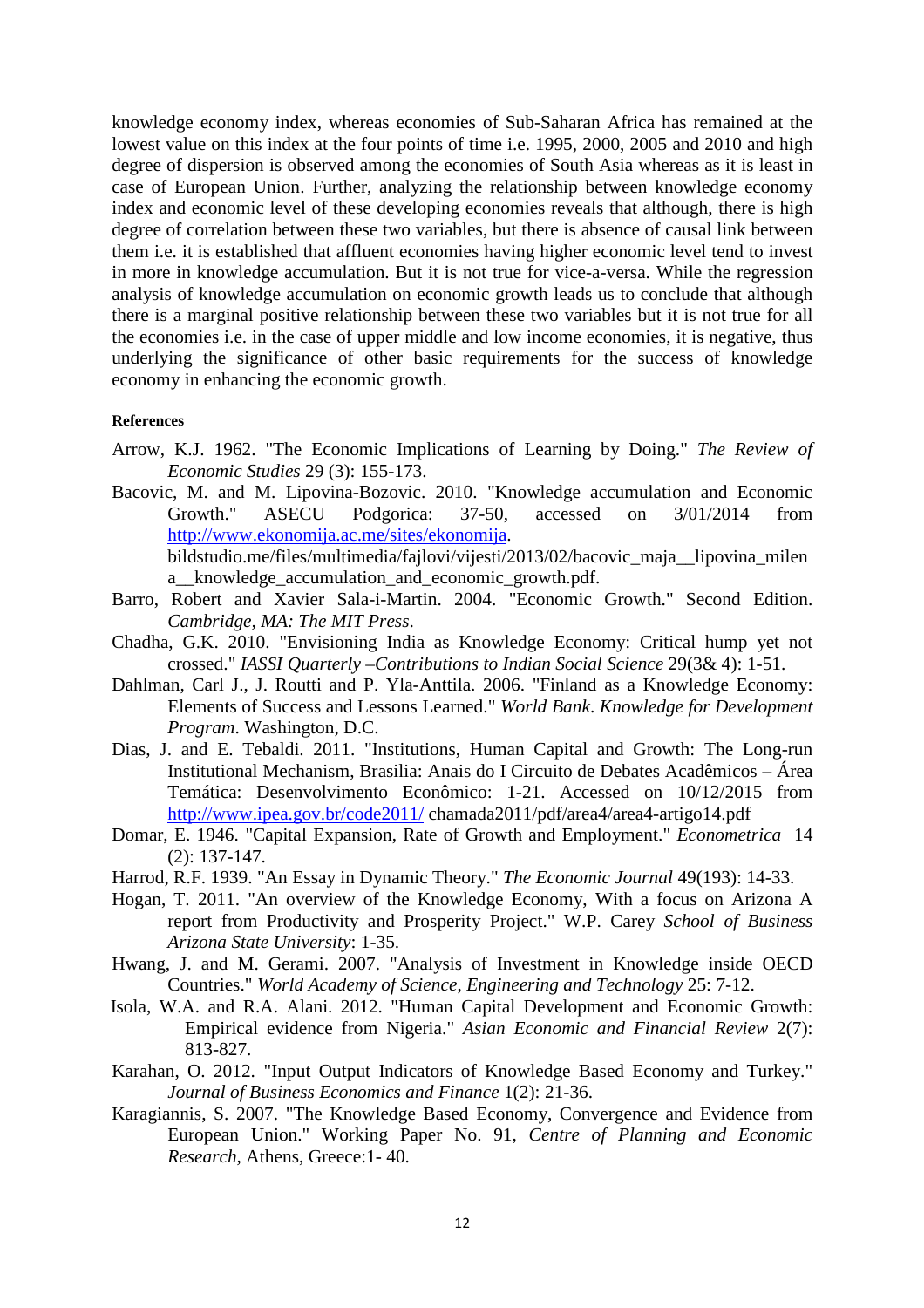knowledge economy index, whereas economies of Sub-Saharan Africa has remained at the lowest value on this index at the four points of time i.e. 1995, 2000, 2005 and 2010 and high degree of dispersion is observed among the economies of South Asia whereas as it is least in case of European Union. Further, analyzing the relationship between knowledge economy index and economic level of these developing economies reveals that although, there is high degree of correlation between these two variables, but there is absence of causal link between them i.e. it is established that affluent economies having higher economic level tend to invest in more in knowledge accumulation. But it is not true for vice-a-versa. While the regression analysis of knowledge accumulation on economic growth leads us to conclude that although there is a marginal positive relationship between these two variables but it is not true for all the economies i.e. in the case of upper middle and low income economies, it is negative, thus underlying the significance of other basic requirements for the success of knowledge economy in enhancing the economic growth.

#### **References**

- Arrow, K.J. 1962. "The Economic Implications of Learning by Doing." *The Review of Economic Studies* 29 (3): 155-173.
- Bacovic, M. and M. Lipovina-Bozovic. 2010. "Knowledge accumulation and Economic Growth." ASECU Podgorica: 37-50, accessed on 3/01/2014 from http://www.ekonomija.ac.me/sites/ekonomija. bildstudio.me/files/multimedia/fajlovi/vijesti/2013/02/bacovic\_maja\_\_lipovina\_milen

a\_\_knowledge\_accumulation\_and\_economic\_growth.pdf.

- Barro, Robert and Xavier Sala-i-Martin. 2004. "Economic Growth." Second Edition. *Cambridge, MA: The MIT Press*.
- Chadha, G.K. 2010. "Envisioning India as Knowledge Economy: Critical hump yet not crossed." *IASSI Quarterly –Contributions to Indian Social Science* 29(3& 4): 1-51.
- Dahlman, Carl J., J. Routti and P. Yla-Anttila. 2006. "Finland as a Knowledge Economy: Elements of Success and Lessons Learned." *World Bank*. *Knowledge for Development Program*. Washington, D.C.
- Dias, J. and E. Tebaldi. 2011. "Institutions, Human Capital and Growth: The Long-run Institutional Mechanism, Brasilia: Anais do I Circuito de Debates Acadêmicos – Área Temática: Desenvolvimento Econômico: 1-21. Accessed on 10/12/2015 from http://www.ipea.gov.br/code2011/ chamada2011/pdf/area4/area4-artigo14.pdf
- Domar, E. 1946. "Capital Expansion, Rate of Growth and Employment." *Econometrica* 14 (2): 137-147.
- Harrod, R.F. 1939. "An Essay in Dynamic Theory." *The Economic Journal* 49(193): 14-33.
- Hogan, T. 2011. "An overview of the Knowledge Economy, With a focus on Arizona A report from Productivity and Prosperity Project." W.P. Carey *School of Business Arizona State University*: 1-35.
- Hwang, J. and M. Gerami. 2007. "Analysis of Investment in Knowledge inside OECD Countries." *World Academy of Science*, *Engineering and Technology* 25: 7-12.
- Isola, W.A. and R.A. Alani. 2012. "Human Capital Development and Economic Growth: Empirical evidence from Nigeria." *Asian Economic and Financial Review* 2(7): 813-827.
- Karahan, O. 2012. "Input Output Indicators of Knowledge Based Economy and Turkey." *Journal of Business Economics and Finance* 1(2): 21-36.
- Karagiannis, S. 2007. "The Knowledge Based Economy, Convergence and Evidence from European Union." Working Paper No. 91, *Centre of Planning and Economic Research,* Athens, Greece:1- 40.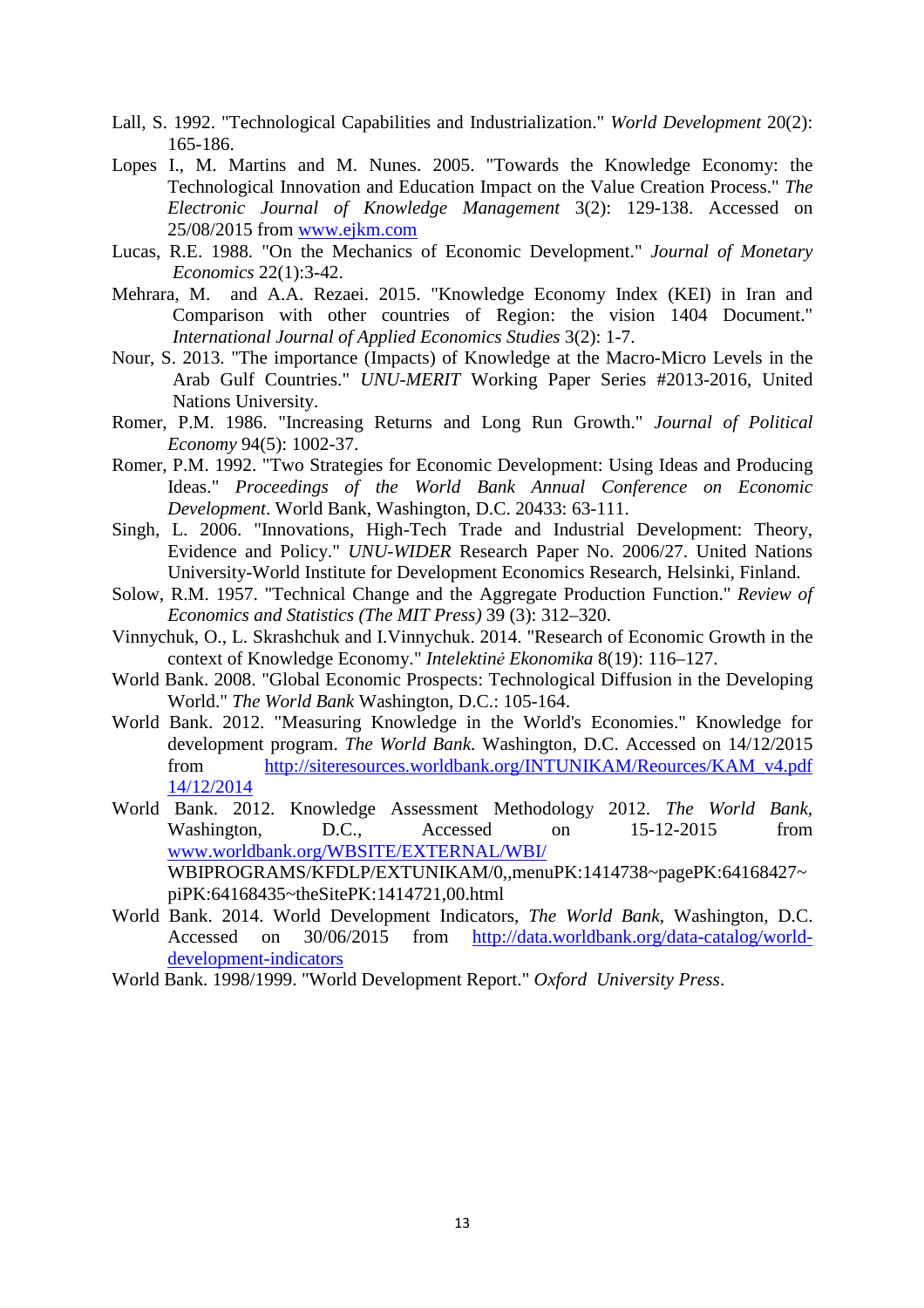- Lall, S. 1992. "Technological Capabilities and Industrialization." *World Development* 20(2): 165-186.
- Lopes I., M. Martins and M. Nunes. 2005. "Towards the Knowledge Economy: the Technological Innovation and Education Impact on the Value Creation Process." *The Electronic Journal of Knowledge Management* 3(2): 129-138. Accessed on 25/08/2015 from www.ejkm.com
- Lucas, R.E. 1988. "On the Mechanics of Economic Development." *Journal of Monetary Economics* 22(1):3-42.
- Mehrara, M. and A.A. Rezaei. 2015. "Knowledge Economy Index (KEI) in Iran and Comparison with other countries of Region: the vision 1404 Document." *International Journal of Applied Economics Studies* 3(2): 1-7.
- Nour, S. 2013. "The importance (Impacts) of Knowledge at the Macro-Micro Levels in the Arab Gulf Countries." *UNU-MERIT* Working Paper Series #2013-2016, United Nations University.
- Romer, P.M. 1986. "Increasing Returns and Long Run Growth." *Journal of Political Economy* 94(5): 1002-37.
- Romer, P.M. 1992. "Two Strategies for Economic Development: Using Ideas and Producing Ideas." *Proceedings of the World Bank Annual Conference on Economic Development*. World Bank, Washington, D.C. 20433: 63-111.
- Singh, L. 2006. "Innovations, High-Tech Trade and Industrial Development: Theory, Evidence and Policy." *UNU-WIDER* Research Paper No. 2006/27. United Nations University-World Institute for Development Economics Research, Helsinki, Finland.
- Solow, R.M. 1957. "Technical Change and the Aggregate Production Function." *Review of Economics and Statistics (The MIT Press)* 39 (3): 312–320.
- Vinnychuk, O., L. Skrashchuk and I.Vinnychuk. 2014. "Research of Economic Growth in the context of Knowledge Economy." *Intelektinė Ekonomika* 8(19): 116–127.
- World Bank. 2008. "Global Economic Prospects: Technological Diffusion in the Developing World." *The World Bank* Washington, D.C.: 105-164.
- World Bank. 2012. "Measuring Knowledge in the World's Economies." Knowledge for development program. *The World Bank*. Washington, D.C. Accessed on 14/12/2015 from http://siteresources.worldbank.org/INTUNIKAM/Reources/KAM\_v4.pdf 14/12/2014
- World Bank. 2012. Knowledge Assessment Methodology 2012. *The World Bank*, Washington, D.C., Accessed on 15-12-2015 from www.worldbank.org/WBSITE/EXTERNAL/WBI/ WBIPROGRAMS/KFDLP/EXTUNIKAM/0,,menuPK:1414738~pagePK:64168427~ piPK:64168435~theSitePK:1414721,00.html
- World Bank. 2014. World Development Indicators, *The World Bank,* Washington, D.C. Accessed on 30/06/2015 from http://data.worldbank.org/data-catalog/worlddevelopment-indicators
- World Bank. 1998/1999. "World Development Report." *Oxford University Press*.